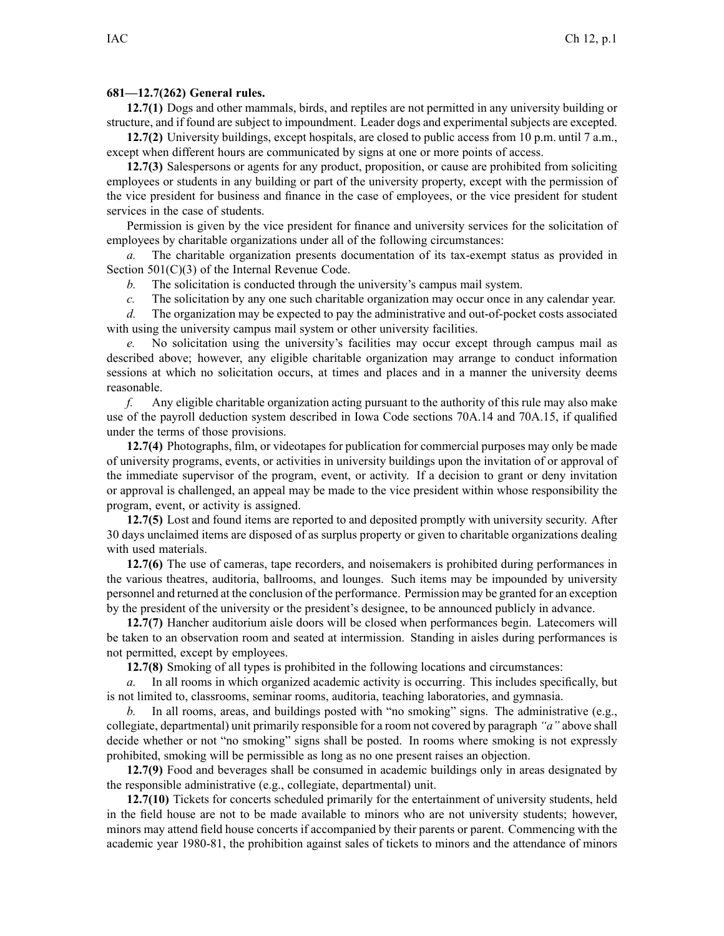## **681—12.7(262) General rules.**

**12.7(1)** Dogs and other mammals, birds, and reptiles are not permitted in any university building or structure, and if found are subject to impoundment. Leader dogs and experimental subjects are excepted.

**12.7(2)** University buildings, excep<sup>t</sup> hospitals, are closed to public access from 10 p.m. until 7 a.m., excep<sup>t</sup> when different hours are communicated by signs at one or more points of access.

**12.7(3)** Salespersons or agents for any product, proposition, or cause are prohibited from soliciting employees or students in any building or par<sup>t</sup> of the university property, excep<sup>t</sup> with the permission of the vice president for business and finance in the case of employees, or the vice president for student services in the case of students.

Permission is given by the vice president for finance and university services for the solicitation of employees by charitable organizations under all of the following circumstances:

*a.* The charitable organization presents documentation of its tax-exempt status as provided in Section 501(C)(3) of the Internal Revenue Code.

*b.* The solicitation is conducted through the university's campus mail system.

*c.* The solicitation by any one such charitable organization may occur once in any calendar year.

*d.* The organization may be expected to pay the administrative and out-of-pocket costs associated with using the university campus mail system or other university facilities.

No solicitation using the university's facilities may occur except through campus mail as described above; however, any eligible charitable organization may arrange to conduct information sessions at which no solicitation occurs, at times and places and in <sup>a</sup> manner the university deems reasonable.

*f.* Any eligible charitable organization acting pursuan<sup>t</sup> to the authority of this rule may also make use of the payroll deduction system described in Iowa Code sections 70A.14 and 70A.15, if qualified under the terms of those provisions.

**12.7(4)** Photographs, film, or videotapes for publication for commercial purposes may only be made of university programs, events, or activities in university buildings upon the invitation of or approval of the immediate supervisor of the program, event, or activity. If <sup>a</sup> decision to gran<sup>t</sup> or deny invitation or approval is challenged, an appeal may be made to the vice president within whose responsibility the program, event, or activity is assigned.

**12.7(5)** Lost and found items are reported to and deposited promptly with university security. After 30 days unclaimed items are disposed of as surplus property or given to charitable organizations dealing with used materials.

**12.7(6)** The use of cameras, tape recorders, and noisemakers is prohibited during performances in the various theatres, auditoria, ballrooms, and lounges. Such items may be impounded by university personnel and returned at the conclusion of the performance. Permission may be granted for an exception by the president of the university or the president's designee, to be announced publicly in advance.

**12.7(7)** Hancher auditorium aisle doors will be closed when performances begin. Latecomers will be taken to an observation room and seated at intermission. Standing in aisles during performances is not permitted, excep<sup>t</sup> by employees.

**12.7(8)** Smoking of all types is prohibited in the following locations and circumstances:

*a.* In all rooms in which organized academic activity is occurring. This includes specifically, but is not limited to, classrooms, seminar rooms, auditoria, teaching laboratories, and gymnasia.

*b.* In all rooms, areas, and buildings posted with "no smoking" signs. The administrative (e.g., collegiate, departmental) unit primarily responsible for <sup>a</sup> room not covered by paragraph *"a"* above shall decide whether or not "no smoking" signs shall be posted. In rooms where smoking is not expressly prohibited, smoking will be permissible as long as no one presen<sup>t</sup> raises an objection.

**12.7(9)** Food and beverages shall be consumed in academic buildings only in areas designated by the responsible administrative (e.g., collegiate, departmental) unit.

**12.7(10)** Tickets for concerts scheduled primarily for the entertainment of university students, held in the field house are not to be made available to minors who are not university students; however, minors may attend field house concerts if accompanied by their parents or parent. Commencing with the academic year 1980-81, the prohibition against sales of tickets to minors and the attendance of minors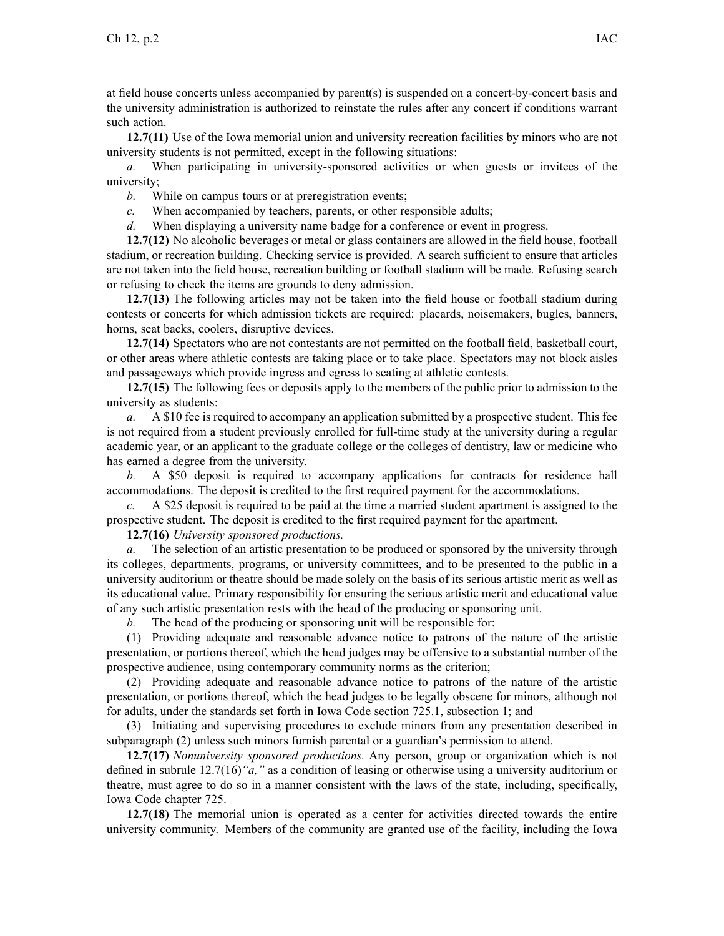at field house concerts unless accompanied by parent(s) is suspended on <sup>a</sup> concert-by-concert basis and the university administration is authorized to reinstate the rules after any concert if conditions warrant such action.

**12.7(11)** Use of the Iowa memorial union and university recreation facilities by minors who are not university students is not permitted, excep<sup>t</sup> in the following situations:

*a.* When participating in university-sponsored activities or when guests or invitees of the university;

*b.* While on campus tours or at preregistration events;

- *c.* When accompanied by teachers, parents, or other responsible adults;
- *d.* When displaying <sup>a</sup> university name badge for <sup>a</sup> conference or event in progress.

**12.7(12)** No alcoholic beverages or metal or glass containers are allowed in the field house, football stadium, or recreation building. Checking service is provided. A search sufficient to ensure that articles are not taken into the field house, recreation building or football stadium will be made. Refusing search or refusing to check the items are grounds to deny admission.

**12.7(13)** The following articles may not be taken into the field house or football stadium during contests or concerts for which admission tickets are required: placards, noisemakers, bugles, banners, horns, seat backs, coolers, disruptive devices.

**12.7(14)** Spectators who are not contestants are not permitted on the football field, basketball court, or other areas where athletic contests are taking place or to take place. Spectators may not block aisles and passageways which provide ingress and egress to seating at athletic contests.

**12.7(15)** The following fees or deposits apply to the members of the public prior to admission to the university as students:

*a.* A \$10 fee is required to accompany an application submitted by <sup>a</sup> prospective student. This fee is not required from <sup>a</sup> student previously enrolled for full-time study at the university during <sup>a</sup> regular academic year, or an applicant to the graduate college or the colleges of dentistry, law or medicine who has earned <sup>a</sup> degree from the university.

*b.* A \$50 deposit is required to accompany applications for contracts for residence hall accommodations. The deposit is credited to the first required paymen<sup>t</sup> for the accommodations.

*c.* A \$25 deposit is required to be paid at the time <sup>a</sup> married student apartment is assigned to the prospective student. The deposit is credited to the first required paymen<sup>t</sup> for the apartment.

**12.7(16)** *University sponsored productions.*

*a.* The selection of an artistic presentation to be produced or sponsored by the university through its colleges, departments, programs, or university committees, and to be presented to the public in <sup>a</sup> university auditorium or theatre should be made solely on the basis of its serious artistic merit as well as its educational value. Primary responsibility for ensuring the serious artistic merit and educational value of any such artistic presentation rests with the head of the producing or sponsoring unit.

*b.* The head of the producing or sponsoring unit will be responsible for:

(1) Providing adequate and reasonable advance notice to patrons of the nature of the artistic presentation, or portions thereof, which the head judges may be offensive to <sup>a</sup> substantial number of the prospective audience, using contemporary community norms as the criterion;

(2) Providing adequate and reasonable advance notice to patrons of the nature of the artistic presentation, or portions thereof, which the head judges to be legally obscene for minors, although not for adults, under the standards set forth in Iowa Code section 725.1, subsection 1; and

(3) Initiating and supervising procedures to exclude minors from any presentation described in subparagraph (2) unless such minors furnish parental or <sup>a</sup> guardian's permission to attend.

**12.7(17)** *Nonuniversity sponsored productions.* Any person, group or organization which is not defined in subrule 12.7(16)*"a,"* as <sup>a</sup> condition of leasing or otherwise using <sup>a</sup> university auditorium or theatre, must agree to do so in <sup>a</sup> manner consistent with the laws of the state, including, specifically, Iowa Code chapter 725.

**12.7(18)** The memorial union is operated as <sup>a</sup> center for activities directed towards the entire university community. Members of the community are granted use of the facility, including the Iowa